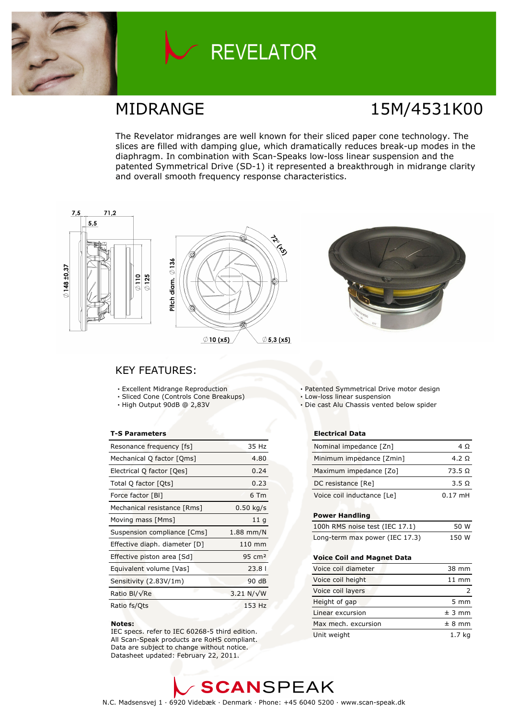

## **REVELATOR**

### MIDRANGE 15M/4531K00

The Revelator midranges are well known for their sliced paper cone technology. The slices are filled with damping glue, which dramatically reduces break-up modes in the diaphragm. In combination with Scan-Speaks low-loss linear suspension and the patented Symmetrical Drive (SD-1) it represented a breakthrough in midrange clarity and overall smooth frequency response characteristics.



### KEY FEATURES:

- Excellent Midrange Reproduction
- Sliced Cone (Controls Cone Breakups)
- High Output 90dB @ 2,83V

#### T-S Parameters

| Resonance frequency [fs]      | 35 Hz             |
|-------------------------------|-------------------|
| Mechanical Q factor [Qms]     | 4.80              |
| Electrical Q factor [Qes]     | 0.24              |
| Total Q factor [Ots]          | 0.23              |
| Force factor [BI]             | 6 Tm              |
| Mechanical resistance [Rms]   | $0.50$ kg/s       |
| Moving mass [Mms]             | 11q               |
| Suspension compliance [Cms]   | $1.88$ mm/N       |
| Effective diaph. diameter [D] | $110 \text{ mm}$  |
| Effective piston area [Sd]    | $95 \text{ cm}^2$ |
| Equivalent volume [Vas]       | 23.81             |
| Sensitivity (2.83V/1m)        | 90 dB             |
| Ratio Bl/√Re                  | $3.21 N/\sqrt{W}$ |
| Ratio fs/Qts                  | 153 Hz            |

#### Notes:

 IEC specs. refer to IEC 60268-5 third edition. All Scan-Speak products are RoHS compliant. Data are subject to change without notice. Datasheet updated: February 22, 2011.

- Patented Symmetrical Drive motor design
- Low-loss linear suspension
- Die cast Alu Chassis vented below spider

#### Electrical Data

| Nominal impedance [Zn]     | 4 O            |
|----------------------------|----------------|
| Minimum impedance [Zmin]   | 4.2 Q          |
| Maximum impedance [Zo]     | $73.5\ \Omega$ |
| DC resistance [Re]         | 3.5 Q          |
| Voice coil inductance [Le] | $0.17$ mH      |

#### Power Handling

| 100h RMS noise test (IEC 17.1) | 50 W  |
|--------------------------------|-------|
| Long-term max power (IEC 17.3) | 150 W |

#### Voice Coil and Magnet Data

| Voice coil diameter | 38 mm            |
|---------------------|------------------|
| Voice coil height   | $11 \text{ mm}$  |
| Voice coil layers   |                  |
| Height of gap       | $5 \, \text{mm}$ |
| Linear excursion    | ± 3 mm           |
| Max mech, excursion | ± 8 mm           |
| Unit weight         | 1.7 ka           |